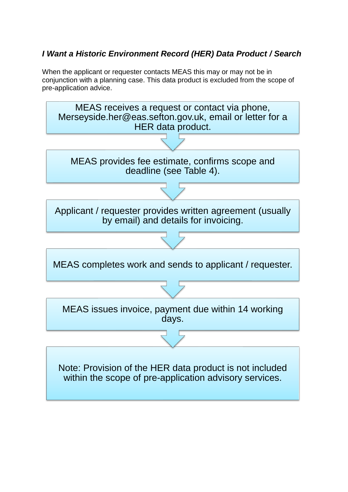# *I Want a Historic Environment Record (HER) Data Product / Search*

When the applicant or requester contacts MEAS this may or may not be in conjunction with a planning case. This data product is excluded from the scope of pre-application advice.

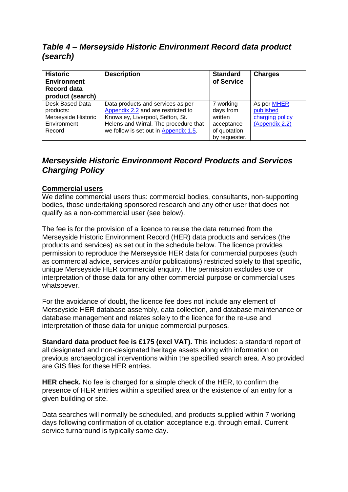# *Table 4 – Merseyside Historic Environment Record data product (search)*

| <b>Historic</b><br><b>Environment</b><br><b>Record data</b><br>product (search) | <b>Description</b>                                                                                          | <b>Standard</b><br>of Service               | <b>Charges</b>                              |
|---------------------------------------------------------------------------------|-------------------------------------------------------------------------------------------------------------|---------------------------------------------|---------------------------------------------|
| Desk Based Data<br>products:<br>Merseyside Historic                             | Data products and services as per<br>Appendix 2.2 and are restricted to<br>Knowsley, Liverpool, Sefton, St. | 7 working<br>days from<br>written           | As per MHER<br>published<br>charging policy |
| Environment<br>Record                                                           | Helens and Wirral. The procedure that<br>we follow is set out in Appendix 1.5.                              | acceptance<br>of quotation<br>by requester. | (Appendix 2.2)                              |

# *Merseyside Historic Environment Record Products and Services Charging Policy*

## **Commercial users**

We define commercial users thus: commercial bodies, consultants, non-supporting bodies, those undertaking sponsored research and any other user that does not qualify as a non-commercial user (see below).

The fee is for the provision of a licence to reuse the data returned from the Merseyside Historic Environment Record (HER) data products and services (the products and services) as set out in the schedule below. The licence provides permission to reproduce the Merseyside HER data for commercial purposes (such as commercial advice, services and/or publications) restricted solely to that specific, unique Merseyside HER commercial enquiry. The permission excludes use or interpretation of those data for any other commercial purpose or commercial uses whatsoever.

For the avoidance of doubt, the licence fee does not include any element of Merseyside HER database assembly, data collection, and database maintenance or database management and relates solely to the licence for the re-use and interpretation of those data for unique commercial purposes.

**Standard data product fee is £175 (excl VAT).** This includes: a standard report of all designated and non-designated heritage assets along with information on previous archaeological interventions within the specified search area. Also provided are GIS files for these HER entries.

**HER check.** No fee is charged for a simple check of the HER, to confirm the presence of HER entries within a specified area or the existence of an entry for a given building or site.

Data searches will normally be scheduled, and products supplied within 7 working days following confirmation of quotation acceptance e.g. through email. Current service turnaround is typically same day.